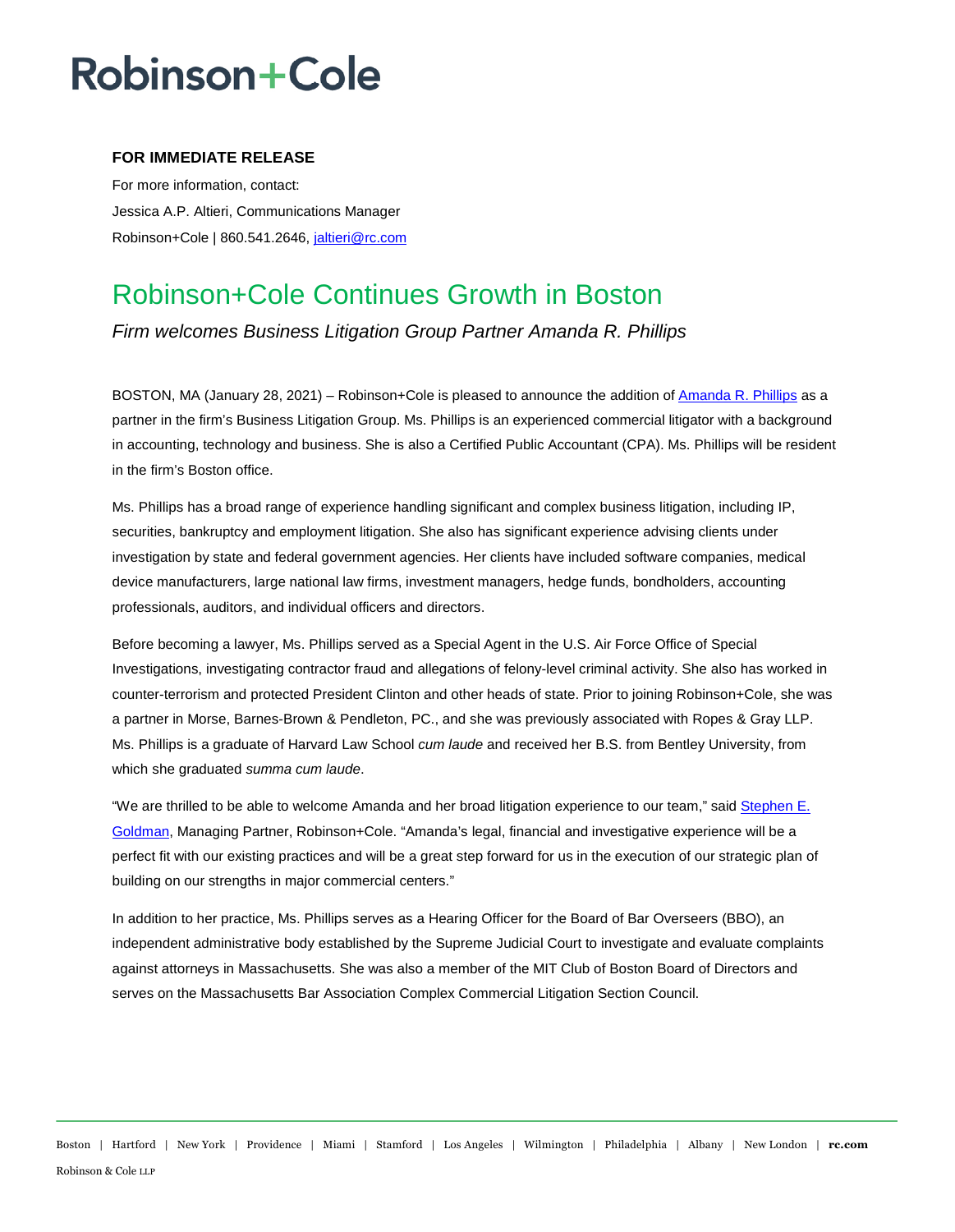# **Robinson+Cole**

### **FOR IMMEDIATE RELEASE**

For more information, contact: Jessica A.P. Altieri, Communications Manager Robinson+Cole | 860.541.2646, [jaltieri@rc.com](mailto:jaltieri@rc.com)

### Robinson+Cole Continues Growth in Boston

*Firm welcomes Business Litigation Group Partner Amanda R. Phillips* 

BOSTON, MA (January 28, 2021) – Robinson+Cole is pleased to announce the addition of [Amanda R. Phillips](http://www.rc.com/people/AmandaPhillips.cfm) as a partner in the firm's Business Litigation Group. Ms. Phillips is an experienced commercial litigator with a background in accounting, technology and business. She is also a Certified Public Accountant (CPA). Ms. Phillips will be resident in the firm's Boston office.

Ms. Phillips has a broad range of experience handling significant and complex business litigation, including IP, securities, bankruptcy and employment litigation. She also has significant experience advising clients under investigation by state and federal government agencies. Her clients have included software companies, medical device manufacturers, large national law firms, investment managers, hedge funds, bondholders, accounting professionals, auditors, and individual officers and directors.

Before becoming a lawyer, Ms. Phillips served as a Special Agent in the U.S. Air Force Office of Special Investigations, investigating contractor fraud and allegations of felony-level criminal activity. She also has worked in counter-terrorism and protected President Clinton and other heads of state. Prior to joining Robinson+Cole, she was a partner in Morse, Barnes-Brown & Pendleton, PC., and she was previously associated with Ropes & Gray LLP. Ms. Phillips is a graduate of Harvard Law School *cum laude* and received her B.S. from Bentley University, from which she graduated *summa cum laude*.

"We are thrilled to be able to welcome Amanda and her broad litigation experience to our team," sai[d Stephen E.](http://www.rc.com/people/StephenEGoldman.cfm)  [Goldman,](http://www.rc.com/people/StephenEGoldman.cfm) Managing Partner, Robinson+Cole. "Amanda's legal, financial and investigative experience will be a perfect fit with our existing practices and will be a great step forward for us in the execution of our strategic plan of building on our strengths in major commercial centers."

In addition to her practice, Ms. Phillips serves as a Hearing Officer for the Board of Bar Overseers (BBO), an independent administrative body established by the Supreme Judicial Court to investigate and evaluate complaints against attorneys in Massachusetts. She was also a member of the MIT Club of Boston Board of Directors and serves on the Massachusetts Bar Association Complex Commercial Litigation Section Council.